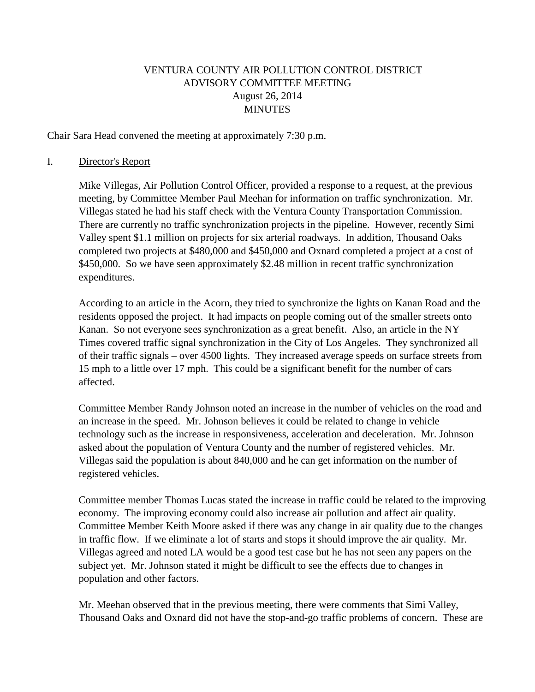# VENTURA COUNTY AIR POLLUTION CONTROL DISTRICT ADVISORY COMMITTEE MEETING August 26, 2014 **MINUTES**

Chair Sara Head convened the meeting at approximately 7:30 p.m.

#### I. Director's Report

Mike Villegas, Air Pollution Control Officer, provided a response to a request, at the previous meeting, by Committee Member Paul Meehan for information on traffic synchronization. Mr. Villegas stated he had his staff check with the Ventura County Transportation Commission. There are currently no traffic synchronization projects in the pipeline. However, recently Simi Valley spent \$1.1 million on projects for six arterial roadways. In addition, Thousand Oaks completed two projects at \$480,000 and \$450,000 and Oxnard completed a project at a cost of \$450,000. So we have seen approximately \$2.48 million in recent traffic synchronization expenditures.

According to an article in the Acorn, they tried to synchronize the lights on Kanan Road and the residents opposed the project. It had impacts on people coming out of the smaller streets onto Kanan. So not everyone sees synchronization as a great benefit. Also, an article in the NY Times covered traffic signal synchronization in the City of Los Angeles. They synchronized all of their traffic signals – over 4500 lights. They increased average speeds on surface streets from 15 mph to a little over 17 mph. This could be a significant benefit for the number of cars affected.

Committee Member Randy Johnson noted an increase in the number of vehicles on the road and an increase in the speed. Mr. Johnson believes it could be related to change in vehicle technology such as the increase in responsiveness, acceleration and deceleration. Mr. Johnson asked about the population of Ventura County and the number of registered vehicles. Mr. Villegas said the population is about 840,000 and he can get information on the number of registered vehicles.

Committee member Thomas Lucas stated the increase in traffic could be related to the improving economy. The improving economy could also increase air pollution and affect air quality. Committee Member Keith Moore asked if there was any change in air quality due to the changes in traffic flow. If we eliminate a lot of starts and stops it should improve the air quality. Mr. Villegas agreed and noted LA would be a good test case but he has not seen any papers on the subject yet. Mr. Johnson stated it might be difficult to see the effects due to changes in population and other factors.

Mr. Meehan observed that in the previous meeting, there were comments that Simi Valley, Thousand Oaks and Oxnard did not have the stop-and-go traffic problems of concern. These are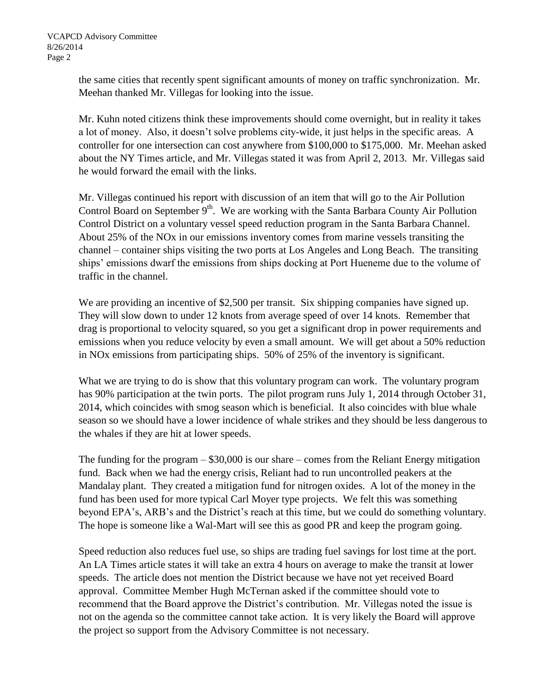the same cities that recently spent significant amounts of money on traffic synchronization. Mr. Meehan thanked Mr. Villegas for looking into the issue.

Mr. Kuhn noted citizens think these improvements should come overnight, but in reality it takes a lot of money. Also, it doesn't solve problems city-wide, it just helps in the specific areas. A controller for one intersection can cost anywhere from \$100,000 to \$175,000. Mr. Meehan asked about the NY Times article, and Mr. Villegas stated it was from April 2, 2013. Mr. Villegas said he would forward the email with the links.

Mr. Villegas continued his report with discussion of an item that will go to the Air Pollution Control Board on September 9<sup>th</sup>. We are working with the Santa Barbara County Air Pollution Control District on a voluntary vessel speed reduction program in the Santa Barbara Channel. About 25% of the NOx in our emissions inventory comes from marine vessels transiting the channel – container ships visiting the two ports at Los Angeles and Long Beach. The transiting ships' emissions dwarf the emissions from ships docking at Port Hueneme due to the volume of traffic in the channel.

We are providing an incentive of \$2,500 per transit. Six shipping companies have signed up. They will slow down to under 12 knots from average speed of over 14 knots. Remember that drag is proportional to velocity squared, so you get a significant drop in power requirements and emissions when you reduce velocity by even a small amount. We will get about a 50% reduction in NOx emissions from participating ships. 50% of 25% of the inventory is significant.

What we are trying to do is show that this voluntary program can work. The voluntary program has 90% participation at the twin ports. The pilot program runs July 1, 2014 through October 31, 2014, which coincides with smog season which is beneficial. It also coincides with blue whale season so we should have a lower incidence of whale strikes and they should be less dangerous to the whales if they are hit at lower speeds.

The funding for the program – \$30,000 is our share – comes from the Reliant Energy mitigation fund. Back when we had the energy crisis, Reliant had to run uncontrolled peakers at the Mandalay plant. They created a mitigation fund for nitrogen oxides. A lot of the money in the fund has been used for more typical Carl Moyer type projects. We felt this was something beyond EPA's, ARB's and the District's reach at this time, but we could do something voluntary. The hope is someone like a Wal-Mart will see this as good PR and keep the program going.

Speed reduction also reduces fuel use, so ships are trading fuel savings for lost time at the port. An LA Times article states it will take an extra 4 hours on average to make the transit at lower speeds. The article does not mention the District because we have not yet received Board approval. Committee Member Hugh McTernan asked if the committee should vote to recommend that the Board approve the District's contribution. Mr. Villegas noted the issue is not on the agenda so the committee cannot take action. It is very likely the Board will approve the project so support from the Advisory Committee is not necessary.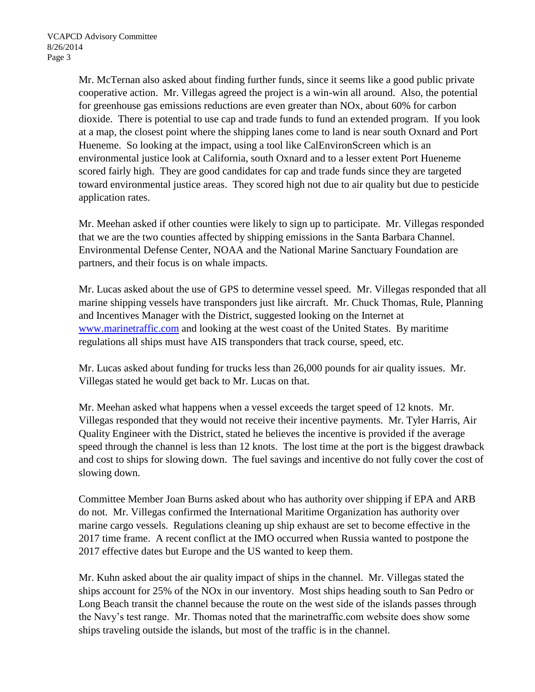Mr. McTernan also asked about finding further funds, since it seems like a good public private cooperative action. Mr. Villegas agreed the project is a win-win all around. Also, the potential for greenhouse gas emissions reductions are even greater than NOx, about 60% for carbon dioxide. There is potential to use cap and trade funds to fund an extended program. If you look at a map, the closest point where the shipping lanes come to land is near south Oxnard and Port Hueneme. So looking at the impact, using a tool like CalEnvironScreen which is an environmental justice look at California, south Oxnard and to a lesser extent Port Hueneme scored fairly high. They are good candidates for cap and trade funds since they are targeted toward environmental justice areas. They scored high not due to air quality but due to pesticide application rates.

Mr. Meehan asked if other counties were likely to sign up to participate. Mr. Villegas responded that we are the two counties affected by shipping emissions in the Santa Barbara Channel. Environmental Defense Center, NOAA and the National Marine Sanctuary Foundation are partners, and their focus is on whale impacts.

Mr. Lucas asked about the use of GPS to determine vessel speed. Mr. Villegas responded that all marine shipping vessels have transponders just like aircraft. Mr. Chuck Thomas, Rule, Planning and Incentives Manager with the District, suggested looking on the Internet at [www.marinetraffic.com](http://www.marinetraffic.com/) and looking at the west coast of the United States. By maritime regulations all ships must have AIS transponders that track course, speed, etc.

Mr. Lucas asked about funding for trucks less than 26,000 pounds for air quality issues. Mr. Villegas stated he would get back to Mr. Lucas on that.

Mr. Meehan asked what happens when a vessel exceeds the target speed of 12 knots. Mr. Villegas responded that they would not receive their incentive payments. Mr. Tyler Harris, Air Quality Engineer with the District, stated he believes the incentive is provided if the average speed through the channel is less than 12 knots. The lost time at the port is the biggest drawback and cost to ships for slowing down. The fuel savings and incentive do not fully cover the cost of slowing down.

Committee Member Joan Burns asked about who has authority over shipping if EPA and ARB do not. Mr. Villegas confirmed the International Maritime Organization has authority over marine cargo vessels. Regulations cleaning up ship exhaust are set to become effective in the 2017 time frame. A recent conflict at the IMO occurred when Russia wanted to postpone the 2017 effective dates but Europe and the US wanted to keep them.

Mr. Kuhn asked about the air quality impact of ships in the channel. Mr. Villegas stated the ships account for 25% of the NOx in our inventory. Most ships heading south to San Pedro or Long Beach transit the channel because the route on the west side of the islands passes through the Navy's test range. Mr. Thomas noted that the marinetraffic.com website does show some ships traveling outside the islands, but most of the traffic is in the channel.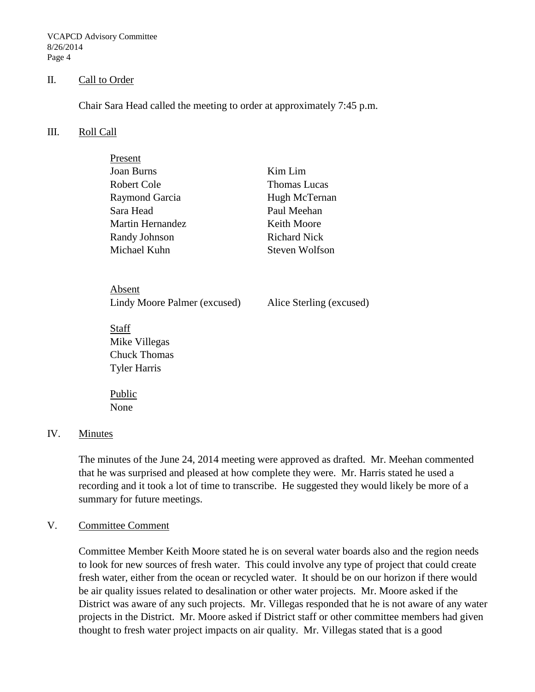VCAPCD Advisory Committee 8/26/2014 Page 4

#### II. Call to Order

Chair Sara Head called the meeting to order at approximately 7:45 p.m.

#### III. Roll Call

| Present          |                     |
|------------------|---------------------|
| Joan Burns       | Kim Lim             |
| Robert Cole      | <b>Thomas Lucas</b> |
| Raymond Garcia   | Hugh McTernan       |
| Sara Head        | Paul Meehan         |
| Martin Hernandez | <b>Keith Moore</b>  |
| Randy Johnson    | <b>Richard Nick</b> |
| Michael Kuhn     | Steven Wolfson      |
|                  |                     |

Absent Lindy Moore Palmer (excused) Alice Sterling (excused)

Staff Mike Villegas Chuck Thomas Tyler Harris

Public None

### IV. Minutes

The minutes of the June 24, 2014 meeting were approved as drafted. Mr. Meehan commented that he was surprised and pleased at how complete they were. Mr. Harris stated he used a recording and it took a lot of time to transcribe. He suggested they would likely be more of a summary for future meetings.

#### V. Committee Comment

Committee Member Keith Moore stated he is on several water boards also and the region needs to look for new sources of fresh water. This could involve any type of project that could create fresh water, either from the ocean or recycled water. It should be on our horizon if there would be air quality issues related to desalination or other water projects. Mr. Moore asked if the District was aware of any such projects. Mr. Villegas responded that he is not aware of any water projects in the District. Mr. Moore asked if District staff or other committee members had given thought to fresh water project impacts on air quality. Mr. Villegas stated that is a good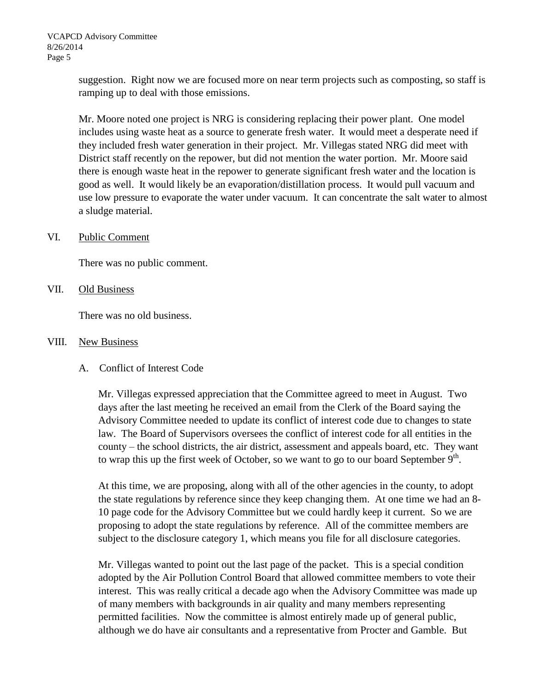suggestion. Right now we are focused more on near term projects such as composting, so staff is ramping up to deal with those emissions.

Mr. Moore noted one project is NRG is considering replacing their power plant. One model includes using waste heat as a source to generate fresh water. It would meet a desperate need if they included fresh water generation in their project. Mr. Villegas stated NRG did meet with District staff recently on the repower, but did not mention the water portion. Mr. Moore said there is enough waste heat in the repower to generate significant fresh water and the location is good as well. It would likely be an evaporation/distillation process. It would pull vacuum and use low pressure to evaporate the water under vacuum. It can concentrate the salt water to almost a sludge material.

### VI. Public Comment

There was no public comment.

VII. Old Business

There was no old business.

#### VIII. New Business

A. Conflict of Interest Code

Mr. Villegas expressed appreciation that the Committee agreed to meet in August. Two days after the last meeting he received an email from the Clerk of the Board saying the Advisory Committee needed to update its conflict of interest code due to changes to state law. The Board of Supervisors oversees the conflict of interest code for all entities in the county – the school districts, the air district, assessment and appeals board, etc. They want to wrap this up the first week of October, so we want to go to our board September  $9<sup>th</sup>$ .

At this time, we are proposing, along with all of the other agencies in the county, to adopt the state regulations by reference since they keep changing them. At one time we had an 8- 10 page code for the Advisory Committee but we could hardly keep it current. So we are proposing to adopt the state regulations by reference. All of the committee members are subject to the disclosure category 1, which means you file for all disclosure categories.

Mr. Villegas wanted to point out the last page of the packet. This is a special condition adopted by the Air Pollution Control Board that allowed committee members to vote their interest. This was really critical a decade ago when the Advisory Committee was made up of many members with backgrounds in air quality and many members representing permitted facilities. Now the committee is almost entirely made up of general public, although we do have air consultants and a representative from Procter and Gamble. But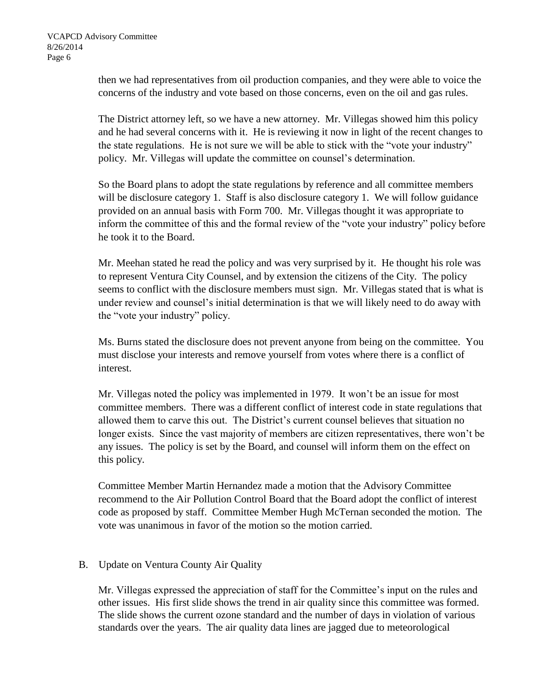then we had representatives from oil production companies, and they were able to voice the concerns of the industry and vote based on those concerns, even on the oil and gas rules.

The District attorney left, so we have a new attorney. Mr. Villegas showed him this policy and he had several concerns with it. He is reviewing it now in light of the recent changes to the state regulations. He is not sure we will be able to stick with the "vote your industry" policy. Mr. Villegas will update the committee on counsel's determination.

So the Board plans to adopt the state regulations by reference and all committee members will be disclosure category 1. Staff is also disclosure category 1. We will follow guidance provided on an annual basis with Form 700. Mr. Villegas thought it was appropriate to inform the committee of this and the formal review of the "vote your industry" policy before he took it to the Board.

Mr. Meehan stated he read the policy and was very surprised by it. He thought his role was to represent Ventura City Counsel, and by extension the citizens of the City. The policy seems to conflict with the disclosure members must sign. Mr. Villegas stated that is what is under review and counsel's initial determination is that we will likely need to do away with the "vote your industry" policy.

Ms. Burns stated the disclosure does not prevent anyone from being on the committee. You must disclose your interests and remove yourself from votes where there is a conflict of interest.

Mr. Villegas noted the policy was implemented in 1979. It won't be an issue for most committee members. There was a different conflict of interest code in state regulations that allowed them to carve this out. The District's current counsel believes that situation no longer exists. Since the vast majority of members are citizen representatives, there won't be any issues. The policy is set by the Board, and counsel will inform them on the effect on this policy.

Committee Member Martin Hernandez made a motion that the Advisory Committee recommend to the Air Pollution Control Board that the Board adopt the conflict of interest code as proposed by staff. Committee Member Hugh McTernan seconded the motion. The vote was unanimous in favor of the motion so the motion carried.

## B. Update on Ventura County Air Quality

Mr. Villegas expressed the appreciation of staff for the Committee's input on the rules and other issues. His first slide shows the trend in air quality since this committee was formed. The slide shows the current ozone standard and the number of days in violation of various standards over the years. The air quality data lines are jagged due to meteorological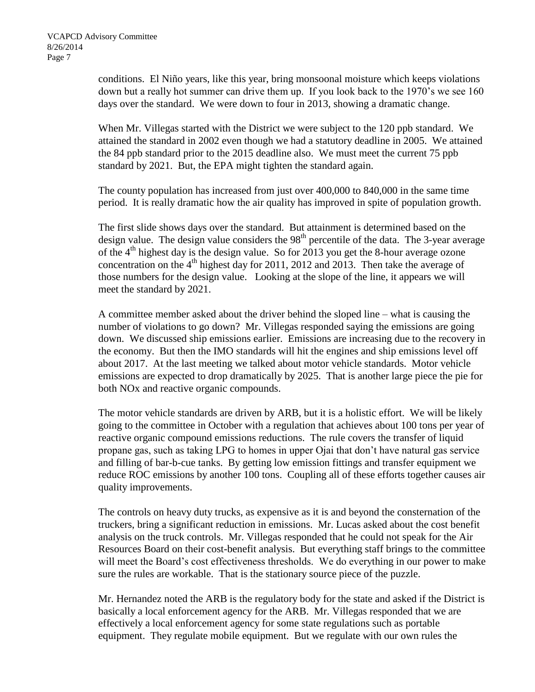conditions. El Niño years, like this year, bring monsoonal moisture which keeps violations down but a really hot summer can drive them up. If you look back to the 1970's we see 160 days over the standard. We were down to four in 2013, showing a dramatic change.

When Mr. Villegas started with the District we were subject to the 120 ppb standard. We attained the standard in 2002 even though we had a statutory deadline in 2005. We attained the 84 ppb standard prior to the 2015 deadline also. We must meet the current 75 ppb standard by 2021. But, the EPA might tighten the standard again.

The county population has increased from just over 400,000 to 840,000 in the same time period. It is really dramatic how the air quality has improved in spite of population growth.

The first slide shows days over the standard. But attainment is determined based on the design value. The design value considers the  $98<sup>th</sup>$  percentile of the data. The 3-year average of the  $4<sup>th</sup>$  highest day is the design value. So for 2013 you get the 8-hour average ozone concentration on the  $4<sup>th</sup>$  highest day for 2011, 2012 and 2013. Then take the average of those numbers for the design value. Looking at the slope of the line, it appears we will meet the standard by 2021.

A committee member asked about the driver behind the sloped line – what is causing the number of violations to go down? Mr. Villegas responded saying the emissions are going down. We discussed ship emissions earlier. Emissions are increasing due to the recovery in the economy. But then the IMO standards will hit the engines and ship emissions level off about 2017. At the last meeting we talked about motor vehicle standards. Motor vehicle emissions are expected to drop dramatically by 2025. That is another large piece the pie for both NOx and reactive organic compounds.

The motor vehicle standards are driven by ARB, but it is a holistic effort. We will be likely going to the committee in October with a regulation that achieves about 100 tons per year of reactive organic compound emissions reductions. The rule covers the transfer of liquid propane gas, such as taking LPG to homes in upper Ojai that don't have natural gas service and filling of bar-b-cue tanks. By getting low emission fittings and transfer equipment we reduce ROC emissions by another 100 tons. Coupling all of these efforts together causes air quality improvements.

The controls on heavy duty trucks, as expensive as it is and beyond the consternation of the truckers, bring a significant reduction in emissions. Mr. Lucas asked about the cost benefit analysis on the truck controls. Mr. Villegas responded that he could not speak for the Air Resources Board on their cost-benefit analysis. But everything staff brings to the committee will meet the Board's cost effectiveness thresholds. We do everything in our power to make sure the rules are workable. That is the stationary source piece of the puzzle.

Mr. Hernandez noted the ARB is the regulatory body for the state and asked if the District is basically a local enforcement agency for the ARB. Mr. Villegas responded that we are effectively a local enforcement agency for some state regulations such as portable equipment. They regulate mobile equipment. But we regulate with our own rules the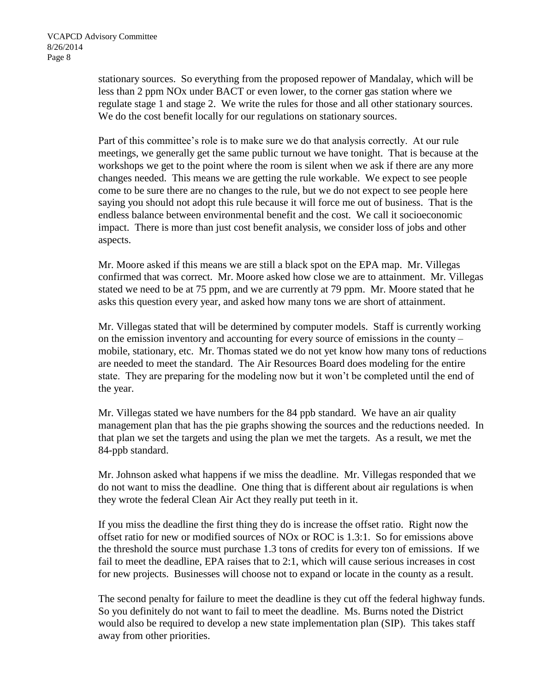stationary sources. So everything from the proposed repower of Mandalay, which will be less than 2 ppm NOx under BACT or even lower, to the corner gas station where we regulate stage 1 and stage 2. We write the rules for those and all other stationary sources. We do the cost benefit locally for our regulations on stationary sources.

Part of this committee's role is to make sure we do that analysis correctly. At our rule meetings, we generally get the same public turnout we have tonight. That is because at the workshops we get to the point where the room is silent when we ask if there are any more changes needed. This means we are getting the rule workable. We expect to see people come to be sure there are no changes to the rule, but we do not expect to see people here saying you should not adopt this rule because it will force me out of business. That is the endless balance between environmental benefit and the cost. We call it socioeconomic impact. There is more than just cost benefit analysis, we consider loss of jobs and other aspects.

Mr. Moore asked if this means we are still a black spot on the EPA map. Mr. Villegas confirmed that was correct. Mr. Moore asked how close we are to attainment. Mr. Villegas stated we need to be at 75 ppm, and we are currently at 79 ppm. Mr. Moore stated that he asks this question every year, and asked how many tons we are short of attainment.

Mr. Villegas stated that will be determined by computer models. Staff is currently working on the emission inventory and accounting for every source of emissions in the county – mobile, stationary, etc. Mr. Thomas stated we do not yet know how many tons of reductions are needed to meet the standard. The Air Resources Board does modeling for the entire state. They are preparing for the modeling now but it won't be completed until the end of the year.

Mr. Villegas stated we have numbers for the 84 ppb standard. We have an air quality management plan that has the pie graphs showing the sources and the reductions needed. In that plan we set the targets and using the plan we met the targets. As a result, we met the 84-ppb standard.

Mr. Johnson asked what happens if we miss the deadline. Mr. Villegas responded that we do not want to miss the deadline. One thing that is different about air regulations is when they wrote the federal Clean Air Act they really put teeth in it.

If you miss the deadline the first thing they do is increase the offset ratio. Right now the offset ratio for new or modified sources of NOx or ROC is 1.3:1. So for emissions above the threshold the source must purchase 1.3 tons of credits for every ton of emissions. If we fail to meet the deadline, EPA raises that to 2:1, which will cause serious increases in cost for new projects. Businesses will choose not to expand or locate in the county as a result.

The second penalty for failure to meet the deadline is they cut off the federal highway funds. So you definitely do not want to fail to meet the deadline. Ms. Burns noted the District would also be required to develop a new state implementation plan (SIP). This takes staff away from other priorities.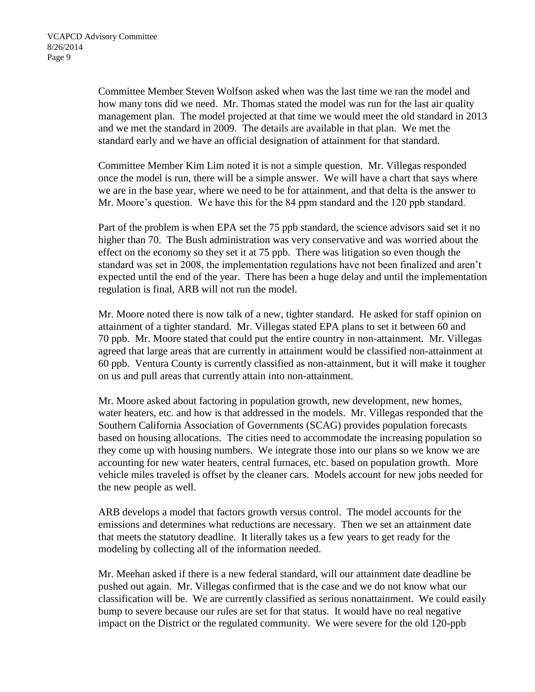Committee Member Steven Wolfson asked when was the last time we ran the model and how many tons did we need. Mr. Thomas stated the model was run for the last air quality management plan. The model projected at that time we would meet the old standard in 2013 and we met the standard in 2009. The details are available in that plan. We met the standard early and we have an official designation of attainment for that standard.

Committee Member Kim Lim noted it is not a simple question. Mr. Villegas responded once the model is run, there will be a simple answer. We will have a chart that says where we are in the base year, where we need to be for attainment, and that delta is the answer to Mr. Moore's question. We have this for the 84 ppm standard and the 120 ppb standard.

Part of the problem is when EPA set the 75 ppb standard, the science advisors said set it no higher than 70. The Bush administration was very conservative and was worried about the effect on the economy so they set it at 75 ppb. There was litigation so even though the standard was set in 2008, the implementation regulations have not been finalized and aren't expected until the end of the year. There has been a huge delay and until the implementation regulation is final, ARB will not run the model.

Mr. Moore noted there is now talk of a new, tighter standard. He asked for staff opinion on attainment of a tighter standard. Mr. Villegas stated EPA plans to set it between 60 and 70 ppb. Mr. Moore stated that could put the entire country in non-attainment. Mr. Villegas agreed that large areas that are currently in attainment would be classified non-attainment at 60 ppb. Ventura County is currently classified as non-attainment, but it will make it tougher on us and pull areas that currently attain into non-attainment.

Mr. Moore asked about factoring in population growth, new development, new homes, water heaters, etc. and how is that addressed in the models. Mr. Villegas responded that the Southern California Association of Governments (SCAG) provides population forecasts based on housing allocations. The cities need to accommodate the increasing population so they come up with housing numbers. We integrate those into our plans so we know we are accounting for new water heaters, central furnaces, etc. based on population growth. More vehicle miles traveled is offset by the cleaner cars. Models account for new jobs needed for the new people as well.

ARB develops a model that factors growth versus control. The model accounts for the emissions and determines what reductions are necessary. Then we set an attainment date that meets the statutory deadline. It literally takes us a few years to get ready for the modeling by collecting all of the information needed.

Mr. Meehan asked if there is a new federal standard, will our attainment date deadline be pushed out again. Mr. Villegas confirmed that is the case and we do not know what our classification will be. We are currently classified as serious nonattainment. We could easily bump to severe because our rules are set for that status. It would have no real negative impact on the District or the regulated community. We were severe for the old 120-ppb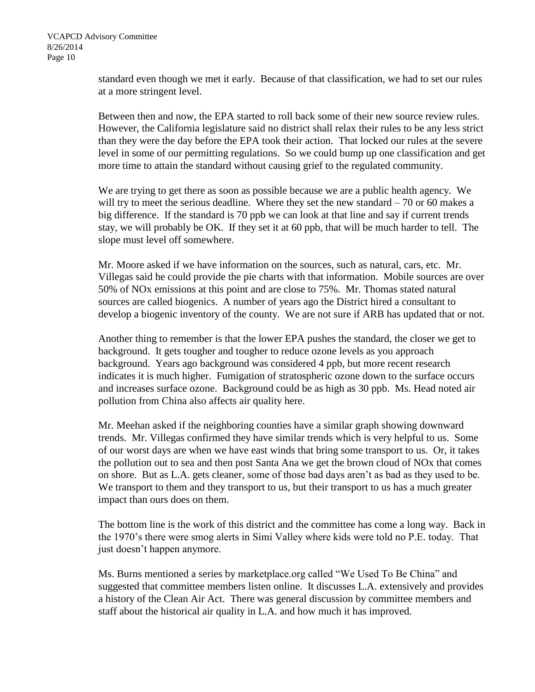standard even though we met it early. Because of that classification, we had to set our rules at a more stringent level.

Between then and now, the EPA started to roll back some of their new source review rules. However, the California legislature said no district shall relax their rules to be any less strict than they were the day before the EPA took their action. That locked our rules at the severe level in some of our permitting regulations. So we could bump up one classification and get more time to attain the standard without causing grief to the regulated community.

We are trying to get there as soon as possible because we are a public health agency. We will try to meet the serious deadline. Where they set the new standard  $-70$  or 60 makes a big difference. If the standard is 70 ppb we can look at that line and say if current trends stay, we will probably be OK. If they set it at 60 ppb, that will be much harder to tell. The slope must level off somewhere.

Mr. Moore asked if we have information on the sources, such as natural, cars, etc. Mr. Villegas said he could provide the pie charts with that information. Mobile sources are over 50% of NOx emissions at this point and are close to 75%. Mr. Thomas stated natural sources are called biogenics. A number of years ago the District hired a consultant to develop a biogenic inventory of the county. We are not sure if ARB has updated that or not.

Another thing to remember is that the lower EPA pushes the standard, the closer we get to background. It gets tougher and tougher to reduce ozone levels as you approach background. Years ago background was considered 4 ppb, but more recent research indicates it is much higher. Fumigation of stratospheric ozone down to the surface occurs and increases surface ozone. Background could be as high as 30 ppb. Ms. Head noted air pollution from China also affects air quality here.

Mr. Meehan asked if the neighboring counties have a similar graph showing downward trends. Mr. Villegas confirmed they have similar trends which is very helpful to us. Some of our worst days are when we have east winds that bring some transport to us. Or, it takes the pollution out to sea and then post Santa Ana we get the brown cloud of NOx that comes on shore. But as L.A. gets cleaner, some of those bad days aren't as bad as they used to be. We transport to them and they transport to us, but their transport to us has a much greater impact than ours does on them.

The bottom line is the work of this district and the committee has come a long way. Back in the 1970's there were smog alerts in Simi Valley where kids were told no P.E. today. That just doesn't happen anymore.

Ms. Burns mentioned a series by marketplace.org called "We Used To Be China" and suggested that committee members listen online. It discusses L.A. extensively and provides a history of the Clean Air Act. There was general discussion by committee members and staff about the historical air quality in L.A. and how much it has improved.